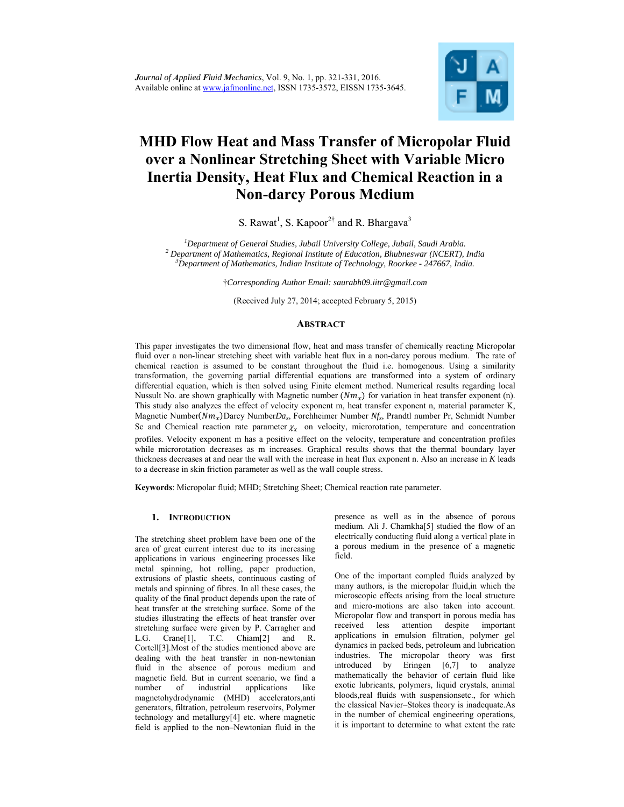

# **MHD Flow Heat and Mass Transfer of Micropolar Fluid over a Nonlinear Stretching Sheet with Variable Micro Inertia Density, Heat Flux and Chemical Reaction in a Non-darcy Porous Medium**

S. Rawat<sup>1</sup>, S. Kapoor<sup>2†</sup> and R. Bhargava<sup>3</sup>

<sup>1</sup><br>
<sup>1</sup> Department of General Studies, Jubail University College, Jubail, Saudi Arabia.<br>
<sup>2</sup> Department of Mathematics, Bosional Institute of Education, Bluthessuar (NGEBT). <sup>2</sup> Department of Mathematics, Regional Institute of Education, Bhubneswar (NCERT), India *Department of Mathematics, Indian Institute of Technology, Roorkee - 247667, India.* 

†*Corresponding Author Email: saurabh09.iitr@gmail.com*

(Received July 27, 2014; accepted February 5, 2015)

# **ABSTRACT**

This paper investigates the two dimensional flow, heat and mass transfer of chemically reacting Micropolar fluid over a non-linear stretching sheet with variable heat flux in a non-darcy porous medium. The rate of chemical reaction is assumed to be constant throughout the fluid i.e. homogenous. Using a similarity transformation, the governing partial differential equations are transformed into a system of ordinary differential equation, which is then solved using Finite element method. Numerical results regarding local Nussult No. are shown graphically with Magnetic number  $(Nm<sub>x</sub>)$  for variation in heat transfer exponent (n). This study also analyzes the effect of velocity exponent m, heat transfer exponent n, material parameter K, Magnetic Number( $Nm_x$ )Darcy Number*Da<sub>x</sub>*, Forchheimer Number *Nf<sub>x</sub>*, Prandtl number Pr, Schmidt Number Sc and Chemical reaction rate parameter  $\chi_r$  on velocity, microrotation, temperature and concentration profiles. Velocity exponent m has a positive effect on the velocity, temperature and concentration profiles while microrotation decreases as m increases. Graphical results shows that the thermal boundary layer thickness decreases at and near the wall with the increase in heat flux exponent n. Also an increase in *K* leads to a decrease in skin friction parameter as well as the wall couple stress.

**Keywords**: Micropolar fluid; MHD; Stretching Sheet; Chemical reaction rate parameter.

# **1. INTRODUCTION**

The stretching sheet problem have been one of the area of great current interest due to its increasing applications in various engineering processes like metal spinning, hot rolling, paper production, extrusions of plastic sheets, continuous casting of metals and spinning of fibres. In all these cases, the quality of the final product depends upon the rate of heat transfer at the stretching surface. Some of the studies illustrating the effects of heat transfer over stretching surface were given by P. Carragher and L.G. Crane[1], T.C. Chiam[2] and R. Cortell[3].Most of the studies mentioned above are dealing with the heat transfer in non-newtonian fluid in the absence of porous medium and magnetic field. But in current scenario, we find a number of industrial applications like magnetohydrodynamic (MHD) accelerators,anti generators, filtration, petroleum reservoirs, Polymer technology and metallurgy[4] etc. where magnetic field is applied to the non–Newtonian fluid in the

presence as well as in the absence of porous medium. Ali J. Chamkha[5] studied the flow of an electrically conducting fluid along a vertical plate in a porous medium in the presence of a magnetic field.

One of the important compled fluids analyzed by many authors, is the micropolar fluid,in which the microscopic effects arising from the local structure and micro-motions are also taken into account. Micropolar flow and transport in porous media has received less attention despite important applications in emulsion filtration, polymer gel dynamics in packed beds, petroleum and lubrication industries. The micropolar theory was first introduced by Eringen [6,7] to analyze mathematically the behavior of certain fluid like exotic lubricants, polymers, liquid crystals, animal bloods,real fluids with suspensionsetc., for which the classical Navier–Stokes theory is inadequate.As in the number of chemical engineering operations, it is important to determine to what extent the rate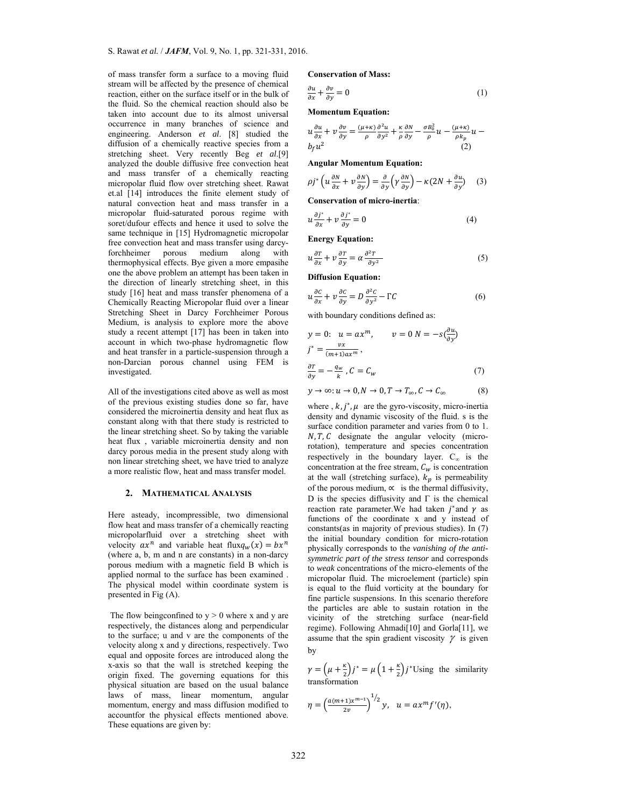of mass transfer form a surface to a moving fluid stream will be affected by the presence of chemical reaction, either on the surface itself or in the bulk of the fluid. So the chemical reaction should also be taken into account due to its almost universal occurrence in many branches of science and engineering. Anderson *et al*. [8] studied the diffusion of a chemically reactive species from a stretching sheet. Very recently Beg *et al*.[9] analyzed the double diffusive free convection heat and mass transfer of a chemically reacting micropolar fluid flow over stretching sheet. Rawat et.al [14] introduces the finite element study of natural convection heat and mass transfer in a micropolar fluid-saturated porous regime with soret/dufour effects and hence it used to solve the same technique in [15] Hydromagnetic micropolar free convection heat and mass transfer using darcyforchheimer porous medium along with thermophysical effects. Bye given a more empasihe one the above problem an attempt has been taken in the direction of linearly stretching sheet, in this study [16] heat and mass transfer phenomena of a Chemically Reacting Micropolar fluid over a linear Stretching Sheet in Darcy Forchheimer Porous Medium, is analysis to explore more the above study a recent attempt [17] has been in taken into account in which two-phase hydromagnetic flow and heat transfer in a particle-suspension through a non-Darcian porous channel using FEM is investigated.

All of the investigations cited above as well as most of the previous existing studies done so far, have considered the microinertia density and heat flux as constant along with that there study is restricted to the linear stretching sheet. So by taking the variable heat flux , variable microinertia density and non darcy porous media in the present study along with non linear stretching sheet, we have tried to analyze a more realistic flow, heat and mass transfer model.

#### **2. MATHEMATICAL ANALYSIS**

Here asteady, incompressible, two dimensional flow heat and mass transfer of a chemically reacting micropolarfluid over a stretching sheet with velocity  $ax^n$  and variable heat flux $q_w(x) = bx^n$ (where a, b, m and n are constants) in a non-darcy porous medium with a magnetic field B which is applied normal to the surface has been examined . The physical model within coordinate system is presented in Fig (A).

The flow being confined to  $y > 0$  where x and y are respectively, the distances along and perpendicular to the surface; u and v are the components of the velocity along x and y directions, respectively. Two equal and opposite forces are introduced along the x-axis so that the wall is stretched keeping the origin fixed. The governing equations for this physical situation are based on the usual balance laws of mass, linear momentum, angular momentum, energy and mass diffusion modified to accountfor the physical effects mentioned above. These equations are given by:

**Conservation of Mass:** 

$$
\frac{\partial u}{\partial x} + \frac{\partial v}{\partial y} = 0\tag{1}
$$

**Momentum Equation:** 

$$
u\frac{\partial u}{\partial x} + v\frac{\partial v}{\partial y} = \frac{(\mu + \kappa)}{\rho} \frac{\partial^2 u}{\partial y^2} + \frac{\kappa}{\rho} \frac{\partial N}{\partial y} - \frac{\sigma B_0^2}{\rho} u - \frac{(\mu + \kappa)}{\rho k_p} u -
$$

**Angular Momentum Equation:** 

$$
\rho j^* \left( u \frac{\partial N}{\partial x} + v \frac{\partial N}{\partial y} \right) = \frac{\partial}{\partial y} \left( \gamma \frac{\partial N}{\partial y} \right) - \kappa (2N + \frac{\partial u}{\partial y}) \tag{3}
$$

 $b_f u^2$  (2)

**Conservation of micro-inertia**:

$$
u\frac{\partial j^*}{\partial x} + v\frac{\partial j^*}{\partial y} = 0\tag{4}
$$

**Energy Equation:** 

$$
u\frac{\partial r}{\partial x} + v\frac{\partial r}{\partial y} = \alpha \frac{\partial^2 r}{\partial y^2} \tag{5}
$$

**Diffusion Equation:** 

$$
u\frac{\partial c}{\partial x} + v\frac{\partial c}{\partial y} = D\frac{\partial^2 c}{\partial y^2} - \Gamma C
$$
 (6)

with boundary conditions defined as:

$$
y = 0: u = ax^{m}, v = 0 N = -s\left(\frac{\partial u}{\partial y}\right)
$$
  

$$
j^* = \frac{vx}{(m+1)ax^m},
$$
  

$$
\frac{\partial T}{\partial y} = -\frac{q_w}{k}, C = C_w
$$
 (7)

$$
y\rightarrow\infty; u\rightarrow 0, N\rightarrow 0, T\rightarrow T_{\infty}, C\rightarrow C_{\infty}\qquad \qquad (8)
$$

where ,  $k, j^*, \mu$  are the gyro-viscosity, micro-inertia density and dynamic viscosity of the fluid. s is the surface condition parameter and varies from 0 to 1.  $N, T, C$  designate the angular velocity (microrotation), temperature and species concentration respectively in the boundary layer.  $C_{\infty}$  is the concentration at the free stream,  $C_w$  is concentration at the wall (stretching surface),  $k_p$  is permeability of the porous medium,  $\propto$  is the thermal diffusivity, D is the species diffusivity and  $\Gamma$  is the chemical reaction rate parameter.We had taken  $i^*$  and  $\gamma$  as functions of the coordinate x and y instead of constants(as in majority of previous studies). In (7) the initial boundary condition for micro-rotation physically corresponds to the *vanishing of the antisymmetric part of the stress tensor* and corresponds to *weak* concentrations of the micro-elements of the micropolar fluid. The microelement (particle) spin is equal to the fluid vorticity at the boundary for fine particle suspensions. In this scenario therefore the particles are able to sustain rotation in the vicinity of the stretching surface (near-field regime). Following Ahmadi[10] and Gorla[11], we assume that the spin gradient viscosity  $\gamma$  is given by

 $\gamma = \left(\mu + \frac{\kappa}{2}\right)j^* = \mu\left(1 + \frac{\kappa}{2}\right)j^*$ Using the similarity transformation

$$
\eta = \left(\frac{a(m+1)x^{m-1}}{2\nu}\right)^{1/2} y, \quad u = ax^m f'(\eta),
$$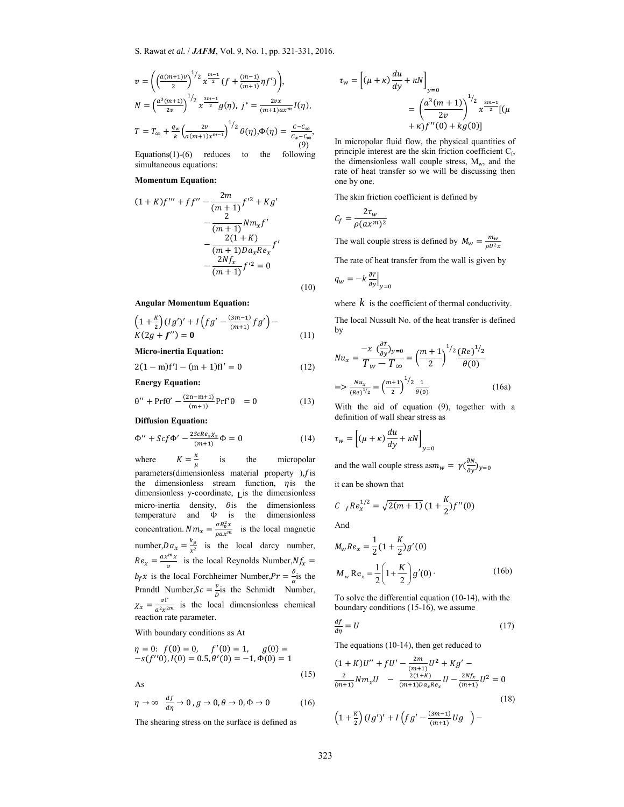$$
v = \left( \left( \frac{a(m+1)v}{2} \right)^{1/2} x^{\frac{m-1}{2}} \left( f + \frac{(m-1)}{(m+1)} \eta f' \right) \right),
$$
  
\n
$$
N = \left( \frac{a^3(m+1)}{2v} \right)^{1/2} x^{\frac{3m-1}{2}} g(\eta), \ j^* = \frac{2vx}{(m+1)ax^m} I(\eta),
$$
  
\n
$$
T = T_{\infty} + \frac{q_w}{k} \left( \frac{2v}{a(m+1)x^{m-1}} \right)^{1/2} \theta(\eta), \Phi(\eta) = \frac{C - C_{\infty}}{C_w - C_{\infty}}
$$
  
\n(9)

Equations(1)-(6) reduces to the following simultaneous equations:

#### **Momentum Equation:**

$$
(1 + K)f''' + ff'' - \frac{2m}{(m+1)}f'^2 + Kg' - \frac{2}{(m+1)}Nm_xf' - \frac{2(1+K)}{(m+1)Da_xRe_x}f' - \frac{2Nf_x}{(m+1)}f'^2 = 0
$$

(10)

,

#### **Angular Momentum Equation:**

$$
\left(1+\frac{\kappa}{2}\right)(lg')' + I\left(fg' - \frac{(3m-1)}{(m+1)}fg'\right) - K(2g+f'') = 0\tag{11}
$$

**Micro-inertia Equation:** 

$$
2(1-m)f'I - (m+1)fI' = 0
$$
 (12)

**Energy Equation:** 

$$
\theta'' + Prf\theta' - \frac{(2n-m+1)}{(m+1)} Prf'\theta = 0 \tag{13}
$$

**Diffusion Equation:** 

$$
\Phi'' + \mathcal{S}cf \Phi' - \frac{2\mathcal{S}cRe_x \chi_x}{(m+1)} \Phi = 0 \tag{14}
$$

ĸ where  $\mu$  is the micropolar parameters(dimensionless material property ), $f$  is the dimensionless stream function,  $\eta$  is the dimensionless y-coordinate, Lis the dimensionless micro-inertia density,  $\theta$  is the dimensionless temperature and Φ is the dimensionless concentration.  $Nm_x = \frac{\sigma B_0^2 x}{\rho ax^m}$  is the local magnetic number, $Da_x = \frac{k_p}{x^2}$  is the local darcy number,  $Re_x = \frac{ax^mx}{v}$  is the local Reynolds Number, $Nf_x =$  $b_f x$  is the local Forchheimer Number, $Pr = \frac{\vartheta}{\alpha}$  is the Prandtl Number, $Sc = \frac{v}{D}$  is the Schmidt Number,  $\chi_x = \frac{v \Gamma}{a^2 x^{2m}}$  is the local dimensionless chemical reaction rate parameter.

# With boundary conditions as At

$$
\eta = 0: f(0) = 0, \quad f'(0) = 1, \quad g(0) = -s(f''0), I(0) = 0.5, \theta'(0) = -1, \Phi(0) = 1
$$

As

$$
\eta \to \infty \quad \frac{df}{d\eta} \to 0 \, , \, g \to 0, \theta \to 0, \Phi \to 0 \tag{16}
$$

The shearing stress on the surface is defined as

$$
\tau_w = \left[ (\mu + \kappa) \frac{du}{dy} + \kappa N \right]_{y=0}
$$
  
= 
$$
\left( \frac{a^3(m+1)}{2v} \right)^{1/2} x^{\frac{3m-1}{2}} [(\mu + \kappa) f''(0) + k g(0)]
$$

In micropolar fluid flow, the physical quantities of principle interest are the skin friction coefficient C<sub>f</sub>, the dimensionless wall couple stress,  $M_w$ , and the rate of heat transfer so we will be discussing then one by one.

The skin friction coefficient is defined by

$$
C_f = \frac{2\tau_w}{\rho(ax^m)^2}
$$

The wall couple stress is defined by  $M_w = \frac{m_w}{\rho U^2 x}$ 

The rate of heat transfer from the wall is given by

 $q_w = -k \frac{\partial T}{\partial y}\Big|_{y=0}$ 

where  $k$  is the coefficient of thermal conductivity.

The local Nussult No. of the heat transfer is defined by

$$
Nu_x = \frac{-x \left(\frac{\partial T}{\partial y}\right)_{y=0}}{T_w - T_{\infty}} = \left(\frac{m+1}{2}\right)^{1/2} \frac{(Re)^{1/2}}{\theta(0)}
$$

$$
=> \frac{Nu_x}{(Re)^{1/2}} = \left(\frac{m+1}{2}\right)^{1/2} \frac{1}{\theta(0)} \tag{16a}
$$

With the aid of equation (9), together with a definition of wall shear stress as

$$
\tau_w = \left[ (\mu + \kappa) \frac{du}{dy} + \kappa N \right]_{y=0}
$$

and the wall couple stress as $m_w = \gamma(\frac{\partial N}{\partial y})_{y=0}$ 

it can be shown that

$$
C_{f}Re_{x}^{1/2} = \sqrt{2(m+1)} (1 + \frac{K}{2})f''(0)
$$

And

$$
M_w Re_x = \frac{1}{2} (1 + \frac{K}{2}) g'(0)
$$
  

$$
M_w Re_x = \frac{1}{2} \left( 1 + \frac{K}{2} \right) g'(0)
$$
 (16b)

To solve the differential equation (10-14), with the boundary conditions (15-16), we assume

$$
\frac{df}{d\eta} = U\tag{17}
$$

The equations (10-14), then get reduced to

$$
(1 + K)U'' + fU' - \frac{2m}{(m+1)}U^2 + Kg' - \frac{2}{(m+1)}Nm_xU - \frac{2(1+K)}{(m+1)Da_xRe_x}U - \frac{2Nf_x}{(m+1)}U^2 = 0
$$
\n(18)

$$
\left(1+\frac{\kappa}{2}\right)(lg')'+I\left(fg'-\frac{(3m-1)}{(m+1)}Ug\right)-
$$

(15)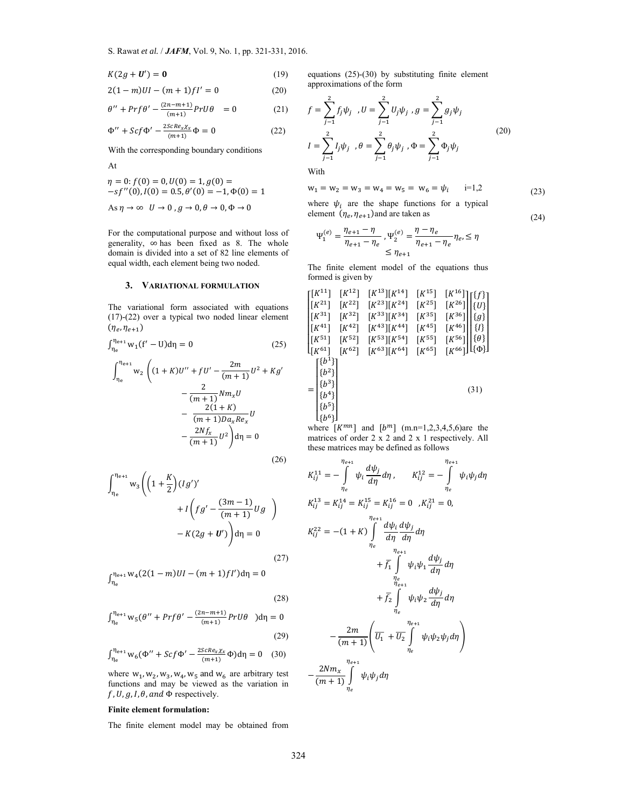$$
K(2g + \mathbf{U}') = \mathbf{0} \tag{19}
$$

$$
2(1-m)UI - (m+1)fl' = 0 \tag{20}
$$

$$
\theta'' + Prf\theta' - \frac{(2n-m+1)}{(m+1)} PrU\theta = 0 \qquad (21)
$$

$$
\Phi'' + \mathcal{S}cf \Phi' - \frac{2\mathcal{S}cRe_x \chi_x}{(m+1)} \Phi = 0
$$
 (22)

With the corresponding boundary conditions

At

$$
\eta = 0: f(0) = 0, U(0) = 1, g(0) =
$$
  
-sf''(0), I(0) = 0.5,  $\theta'(0) = -1, \Phi(0) = 1$   
As  $\eta \to \infty$   $U \to 0$ ,  $g \to 0, \theta \to 0, \Phi \to 0$ 

For the computational purpose and without loss of generality, ∞ has been fixed as 8. The whole domain is divided into a set of 82 line elements of equal width, each element being two noded.

## **3. VARIATIONAL FORMULATION**

The variational form associated with equations (17)-(22) over a typical two noded linear element  $(\eta_e, \eta_{e+1})$ 

$$
\int_{\eta_e}^{\eta_{e+1}} w_1 (f' - U) d\eta = 0
$$
 (25)

$$
\int_{\eta_e}^{\eta_{e+1}} w_2 \left( (1+K)U'' + fU' - \frac{2m}{(m+1)}U^2 + Kg' - \frac{2}{(m+1)}Nm_xU - \frac{2(1+K)}{(m+1)Da_xRe_x}U - \frac{2Nf_x}{(m+1)}U^2 \right) d\eta = 0
$$

 $(26)$ 

$$
\int_{\eta_e}^{\eta_{e+1}} w_3 \left( \left( 1 + \frac{K}{2} \right) (Ig')' + I \left( fg' - \frac{(3m-1)}{(m+1)} Ug \right) - K(2g + U') \right) d\eta = 0
$$
\n(27)

 $\int_{\eta_e}^{\eta_{e+1} W_4} (2(1-m)UI - (m+1)fl') d\eta = 0$ 

$$
(28)
$$

$$
\int_{\eta_e}^{\eta_{e+1}} w_5(\theta'' + Prf\theta' - \frac{(2n - m + 1)}{(m+1)} PrU\theta) d\eta = 0
$$
\n(29)

$$
\int_{\eta_e}^{\eta_{e+1}} w_6(\Phi'' + Scf \Phi' - \frac{2ScRe_x \chi_x}{(m+1)} \Phi) d\eta = 0 \quad (30)
$$

where  $w_1, w_2, w_3, w_4, w_5$  and  $w_6$  are arbitrary test functions and may be viewed as the variation in  $f, U, g, I, \theta,$  and  $\Phi$  respectively.

#### **Finite element formulation:**

The finite element model may be obtained from

equations (25)-(30) by substituting finite element approximations of the form

$$
\frac{n-m+1}{(m+1)} PrU\theta = 0
$$
\n(21)  $f = \sum_{j=1}^{2} f_j \psi_j, U = \sum_{j=1}^{2} U_j \psi_j, g = \sum_{j=1}^{2} g_j \psi_j$ \n
$$
\frac{scRe_x \chi_x}{(m+1)} \Phi = 0
$$
\n(22)  $I = \sum_{j=1}^{2} I_j \psi_j, \theta = \sum_{j=1}^{2} \theta_j \psi_j, \Phi = \sum_{j=1}^{2} \Phi_j \psi_j$ \n(20)

With

$$
(0) = -1, \Phi(0) = 1 \qquad \qquad w_1 = w_2 = w_3 = w_4 = w_5 = w_6 = \psi_i \qquad i=1,2
$$
 (23)

(24)

where  $\psi_i$  are the shape functions for a typical element  $(\eta_e, \eta_{e+1})$ and are taken as

$$
\Psi_1^{(e)} = \frac{\eta_{e+1} - \eta}{\eta_{e+1} - \eta_e}, \Psi_2^{(e)} = \frac{\eta - \eta_e}{\eta_{e+1} - \eta_e} \eta_e, \le \eta
$$
  

$$
\le \eta_{e+1}
$$

The finite element model of the equations thus formed is given by

$$
\begin{bmatrix}\n[K^{11}] & [K^{12}] & [K^{13}][K^{14}] & [K^{15}] & [K^{16}]\n[K^{21}] & [K^{22}] & [K^{23}][K^{24}] & [K^{25}] & [K^{26}]\n[K^{31}] & [K^{32}] & [K^{33}][K^{34}] & [K^{35}] & [K^{36}]\n[K^{41}] & [K^{42}] & [K^{43}][K^{44}] & [K^{45}] & [K^{46}]\n[K^{51}] & [K^{52}] & [K^{53}][K^{54}] & [K^{55}] & [K^{56}]\n[K^{61}] & [K^{62}] & [K^{63}][K^{64}] & [K^{65}] & [K^{66}]\n[K^{61}] & [K^{62}] & [K^{63}][K^{64}] & [K^{65}] & [K^{66}]\n[K^{63}] & [K^{64}] & [K^{65}] & [K^{66}]\n[k^{3}] & [b^{4}] & [b^{5}]\n[k^{6}] & [b^{6}]\n\end{bmatrix}
$$
\n(31)

where  $[K^{mn}]$  and  $[b^m]$  (m.n=1,2,3,4,5,6)are the matrices of order 2 x 2 and 2 x 1 respectively. All these matrices may be defined as follows

$$
K_{ij}^{11} = -\int_{\eta_e}^{\eta_{e+1}} \psi_i \frac{d\psi_j}{d\eta} d\eta, \qquad K_{ij}^{12} = -\int_{\eta_e}^{\eta_{e+1}} \psi_i \psi_j d\eta
$$
  
\n
$$
K_{ij}^{13} = K_{ij}^{14} = K_{ij}^{15} = K_{ij}^{16} = 0 \quad , K_{ij}^{21} = 0,
$$
  
\n
$$
K_{ij}^{22} = -(1 + K) \int_{\eta_e}^{\eta_{e+1}} \frac{d\psi_i}{d\eta} \frac{d\psi_j}{d\eta} d\eta
$$
  
\n
$$
+ \overline{f_1} \int_{\eta_{e+1}}^{\eta_{e+1}} \psi_i \psi_i \frac{d\psi_j}{d\eta} d\eta
$$
  
\n
$$
+ \overline{f_2} \int_{\eta_e}^{\eta_{e+1}} \psi_i \psi_2 \frac{d\psi_j}{d\eta} d\eta
$$
  
\n
$$
- \frac{2m}{(m+1)} \left( \overline{U_1} + \overline{U_2} \int_{\eta_e}^{\eta_{e+1}} \psi_i \psi_2 \psi_j d\eta \right)
$$
  
\n
$$
- \frac{2Nm_x}{(m+1)} \int_{\eta_e}^{\eta_{e+1}} \psi_i \psi_j d\eta
$$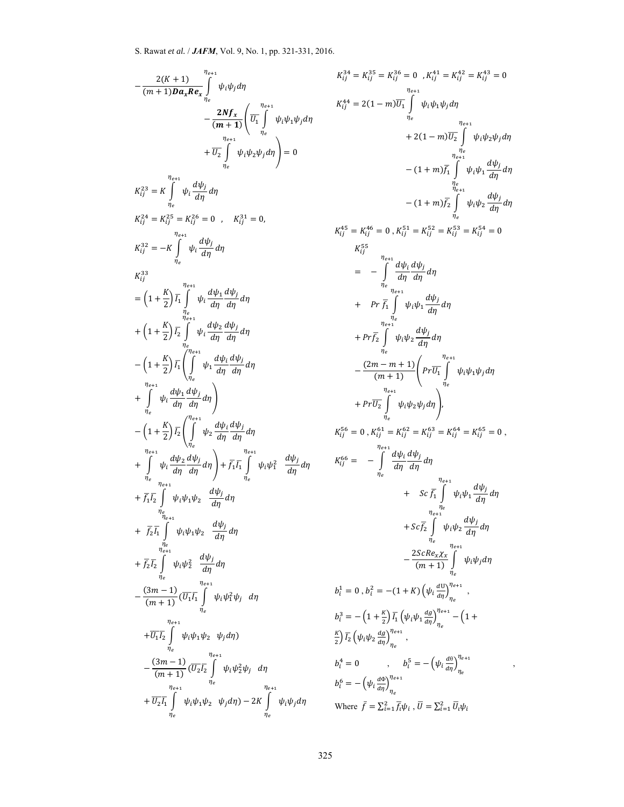$$
-\frac{2(K+1)}{(m+1)Da_x Re_x} \int_{\eta_e}^{\eta_{e+1}} \psi_i \psi_j d\eta
$$
  
\n
$$
-\frac{2Nf_x}{(m+1)} \left( \overline{U_1} \int_{\eta_e}^{\eta_{e+1}} \psi_i \psi_i \psi_j d\eta \right)
$$
  
\n
$$
+\overline{U_2} \int_{\eta_e}^{\eta_{e+1}} \psi_i \psi_2 \psi_j d\eta \right) = 0
$$
  
\n
$$
K_{ij}^{23} = K \int_{\eta_e}^{\eta_{e+1}} \psi_i \frac{d\psi_j}{d\eta} d\eta
$$
  
\n
$$
K_{ij}^{24} = K_{ij}^{25} = K_{ij}^{26} = 0 \ , \quad K_{ij}^{31} = 0,
$$
  
\n
$$
K_{ij}^{32} = -K \int_{\eta_e}^{\eta_{e+1}} \psi_i \frac{d\psi_j}{d\eta} d\eta
$$
  
\n
$$
K_{ij}^{33} = \left(1 + \frac{K}{2}\right) \overline{I_2} \int_{\eta_e}^{\eta_{e+1}} \psi_i \frac{d\psi_1}{d\eta} \frac{d\psi_j}{d\eta} d\eta
$$
  
\n
$$
+ \left(1 + \frac{K}{2}\right) \overline{I_2} \int_{\eta_e}^{\eta_{e+1}} \psi_i \frac{d\psi_1 d\psi_j}{d\eta} d\eta d\eta
$$
  
\n
$$
- \left(1 + \frac{K}{2}\right) \overline{I_2} \left( \int_{\eta_e}^{\eta_{e+1}} \psi_1 \frac{d\psi_i d\psi_j}{d\eta} d\eta \right)
$$
  
\n
$$
- \left(1 + \frac{K}{2}\right) \overline{I_2} \left( \int_{\eta_e}^{\eta_{e+1}} \psi_2 \frac{d\psi_i d\psi_j}{d\eta} d\eta \right)
$$
  
\n
$$
- \left(1 + \frac{K}{2}\right) \overline{I_2} \left( \int_{\eta_e}^{\eta_{e+1}} \psi_2 \frac{d\psi_i d\psi_j}{d\eta} d\eta \right)
$$
  
\n
$$
+ \overline{f_2} \overline{I_1} \int_{
$$

$$
K_{ij}^{34} = K_{ij}^{35} = K_{ij}^{36} = 0, K_{ij}^{44} = K_{ij}^{42} = K_{ij}^{43} = 0
$$
  
\n
$$
K_{ij}^{44} = 2(1 - m)\overline{U_{1}} \int_{\eta_{e}}^{\eta_{e+1}} \psi_{i} \psi_{1} \psi_{j} d\eta
$$
  
\n
$$
+ 2(1 - m)\overline{U_{2}} \int_{\eta_{e}}^{\eta_{e+1}} \psi_{i} \psi_{2} \psi_{j} d\eta
$$
  
\n
$$
- (1 + m)\overline{f_{1}} \int_{\eta_{e}}^{\eta_{e+1}} \psi_{i} \psi_{2} \psi_{j} d\eta
$$
  
\n
$$
- (1 + m)\overline{f_{2}} \int_{\eta_{e}}^{\eta_{e+1}} \psi_{i} \psi_{2} \frac{d\psi_{j}}{d\eta} d\eta
$$
  
\n
$$
K_{ij}^{45} = K_{ij}^{46} = 0, K_{ij}^{51} = K_{ij}^{52} = K_{ij}^{53} = K_{ij}^{54} = 0
$$
  
\n
$$
K_{ij}^{55} = \sum_{\eta_{e+1}}^{\eta_{e+1}} \frac{d\psi_{i}}{d\eta} \frac{d\psi_{j}}{d\eta} d\eta
$$
  
\n
$$
+ Pr \overline{f_{1}} \int_{\eta_{e}}^{\eta_{e+1}} \psi_{i} \psi_{1} \frac{d\psi_{j}}{d\eta} d\eta
$$
  
\n
$$
+ Pr \overline{f_{2}} \int_{\eta_{e}}^{\eta_{e+1}} \psi_{i} \psi_{2} \frac{d\psi_{j}}{d\eta} d\eta
$$
  
\n
$$
- \frac{(2m - m + 1)}{(m + 1)} \left( Pr \overline{U_{1}} \int_{\eta_{e}}^{\eta_{e+1}} \psi_{i} \psi_{1} \psi_{j} d\eta
$$
  
\n
$$
+ Pr \overline{U_{2}} \int_{\eta_{e}}^{\eta_{e}} \psi_{i} \psi_{2} \psi_{j} d\eta \right).
$$
  
\n
$$
K_{ij}^{56} = 0, K_{ij}^{61} = K_{ij}^{62
$$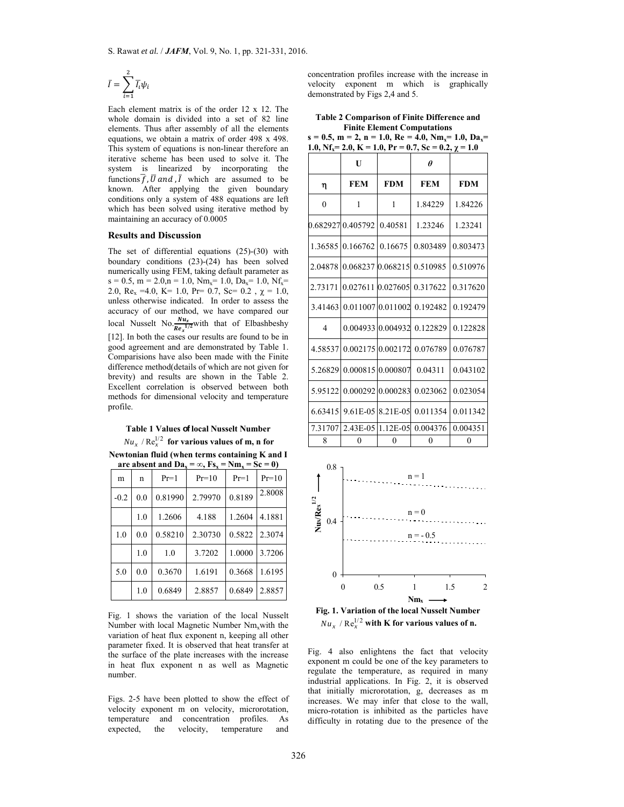$$
\bar{I}=\sum_{i=1}^2\overline{I_i}\psi_i
$$

Each element matrix is of the order 12 x 12. The whole domain is divided into a set of 82 line elements. Thus after assembly of all the elements equations, we obtain a matrix of order 498 x 498. This system of equations is non-linear therefore an iterative scheme has been used to solve it. The system is linearized by incorporating the functions  $\overline{f}$ ,  $\overline{U}$  and  $\overline{I}$  which are assumed to be known. After applying the given boundary conditions only a system of 488 equations are left which has been solved using iterative method by maintaining an accuracy of 0.0005

#### **Results and Discussion**

The set of differential equations (25)-(30) with boundary conditions (23)-(24) has been solved numerically using FEM, taking default parameter as  $s = 0.5$ ,  $m = 2.0$ ,  $n = 1.0$ ,  $Nm_x = 1.0$ ,  $Da_x = 1.0$ ,  $Nf_x =$ 2.0,  $Re_x = 4.0$ ,  $K = 1.0$ ,  $Pr = 0.7$ ,  $Sc = 0.2$ ,  $\chi = 1.0$ , unless otherwise indicated. In order to assess the accuracy of our method, we have compared our local Nusselt No.  $\frac{Nu_x}{Re_x^{1/2}}$  with that of Elbashbeshy [12]. In both the cases our results are found to be in good agreement and are demonstrated by Table 1. Comparisions have also been made with the Finite difference method(details of which are not given for brevity) and results are shown in the Table 2. Excellent correlation is observed between both methods for dimensional velocity and temperature profile.

# **Table 1 Values of local Nusselt Number**  $Nu_x$  /  $Re_x^{1/2}$  for various values of m, n for

**Newtonian fluid (when terms containing K and I are absent and Da**<sub>x</sub> =  $\infty$ , F<sub>S<sub>x</sub></sub> = Nm<sub>x</sub> = Sc = 0)

| m      | n   | $Pr=1$  | $Pr=10$ | $Pr=1$ | $Pr=10$ |
|--------|-----|---------|---------|--------|---------|
| $-0.2$ | 0.0 | 0.81990 | 2.79970 | 0.8189 | 2.8008  |
|        | 1.0 | 1.2606  | 4.188   | 1.2604 | 4.1881  |
| 1.0    | 0.0 | 0.58210 | 2.30730 | 0.5822 | 2.3074  |
|        | 1.0 | 1.0     | 3.7202  | 1.0000 | 3.7206  |
| 5.0    | 0.0 | 0.3670  | 1.6191  | 0.3668 | 1.6195  |
|        | 1.0 | 0.6849  | 2.8857  | 0.6849 | 2.8857  |

Fig. 1 shows the variation of the local Nusselt Number with local Magnetic Number  $Nm_x$  with the variation of heat flux exponent n, keeping all other parameter fixed. It is observed that heat transfer at the surface of the plate increases with the increase in heat flux exponent n as well as Magnetic number.

Figs. 2-5 have been plotted to show the effect of velocity exponent m on velocity, microrotation, temperature and concentration profiles. As expected, the velocity, temperature and

concentration profiles increase with the increase in velocity exponent m which is graphically demonstrated by Figs 2,4 and 5.

**Table 2 Comparison of Finite Difference and Finite Element Computations** 

 $s = 0.5$ ,  $m = 2$ ,  $n = 1.0$ ,  $Re = 4.0$ ,  $Nm = 1.0$ ,  $Da =$ **1.0,**  $\text{Nf}_x = 2.0$ **,**  $\text{K} = 1.0$ **,**  $\text{Pr} = 0.7$ **,**  $\text{Sc} = 0.2$ **,**  $\gamma = 1.0$ 

|                | U                                  |            | $\theta$                   |            |
|----------------|------------------------------------|------------|----------------------------|------------|
| η              | <b>FEM</b>                         | <b>FDM</b> | <b>FEM</b>                 | <b>FDM</b> |
| $\theta$       | 1                                  | 1          | 1.84229                    | 1.84226    |
|                | 0.682927 0.405792                  | 0.40581    | 1.23246                    | 1.23241    |
| 1.36585        | 0.166762                           | 0.16675    | 0.803489                   | 0.803473   |
|                | 2.04878 0.068237 0.068215 0.510985 |            |                            | 0.510976   |
| 2.73171        |                                    |            | 0.027611 0.027605 0.317622 | 0.317620   |
| 3.41463        |                                    |            | 0.011007 0.011002 0.192482 | 0.192479   |
| $\overline{4}$ | 0.004933 0.004932                  |            | 0.122829                   | 0.122828   |
| 4.58537        |                                    |            | 0.00217510.00217210.076789 | 0.076787   |
| 5.26829        | 0.00081510.000807                  |            | 0.04311                    | 0.043102   |
| 5.95122        | 0.000292 0.000283                  |            | 0.023062                   | 0.023054   |
| 6.63415        |                                    |            | 9.61E-05 8.21E-05 0.011354 | 0.011342   |
| 7.31707        | 2.43E-0511.12E-05                  |            | 0.004376                   | 0.004351   |
| 8              | 0                                  | 0          | $\theta$                   | $\theta$   |



**Fig. 1. Variation of the local Nusselt Number**  $Nu_r / Re_r^{1/2}$  with K for various values of n.

Fig. 4 also enlightens the fact that velocity exponent m could be one of the key parameters to regulate the temperature, as required in many industrial applications. In Fig. 2, it is observed that initially microrotation, g, decreases as m increases. We may infer that close to the wall, micro-rotation is inhibited as the particles have difficulty in rotating due to the presence of the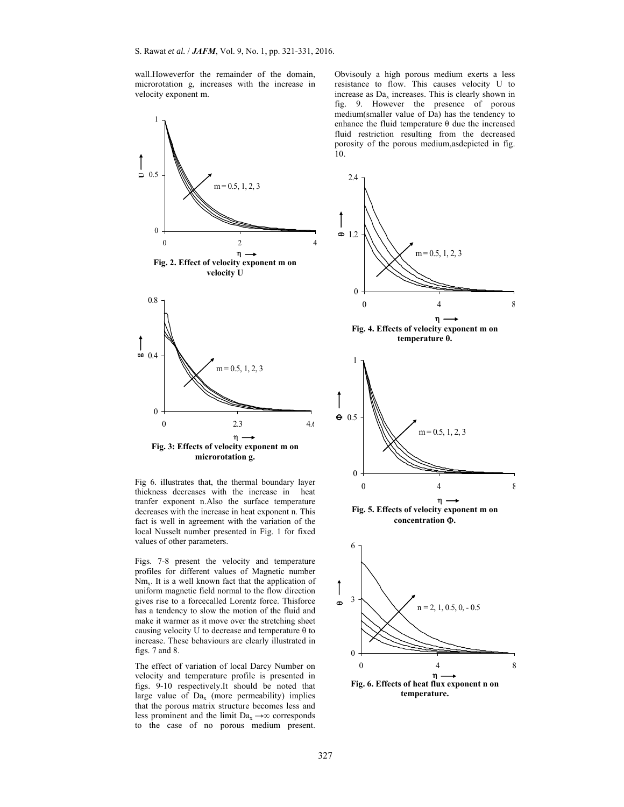wall.Howeverfor the remainder of the domain, microrotation g, increases with the increase in velocity exponent m.



Fig 6. illustrates that, the thermal boundary layer thickness decreases with the increase in heat tranfer exponent n.Also the surface temperature decreases with the increase in heat exponent n. This fact is well in agreement with the variation of the local Nusselt number presented in Fig. 1 for fixed values of other parameters.

Figs. 7-8 present the velocity and temperature profiles for different values of Magnetic number  $Nm<sub>x</sub>$ . It is a well known fact that the application of uniform magnetic field normal to the flow direction gives rise to a forcecalled Lorentz force. Thisforce has a tendency to slow the motion of the fluid and make it warmer as it move over the stretching sheet causing velocity U to decrease and temperature  $\theta$  to increase. These behaviours are clearly illustrated in figs. 7 and 8.

The effect of variation of local Darcy Number on velocity and temperature profile is presented in figs. 9-10 respectively.It should be noted that large value of  $Da<sub>x</sub>$  (more permeability) implies that the porous matrix structure becomes less and less prominent and the limit Da<sub>x</sub>  $\rightarrow \infty$  corresponds to the case of no porous medium present.

Obvisouly a high porous medium exerts a less resistance to flow. This causes velocity U to increase as  $Da<sub>x</sub>$  increases. This is clearly shown in fig. 9. However the presence of porous medium(smaller value of Da) has the tendency to enhance the fluid temperature θ due the increased fluid restriction resulting from the decreased porosity of the porous medium,asdepicted in fig. 10.



**Fig. 6. Effects of heat flux exponent n on temperature.**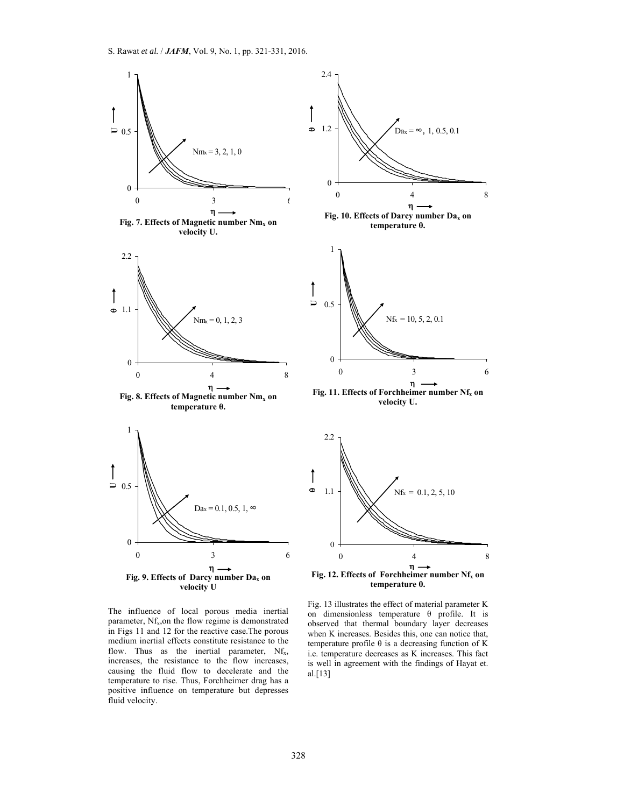

The influence of local porous media inertial parameter, Nf<sub>x</sub>,on the flow regime is demonstrated in Figs 11 and 12 for the reactive case.The porous medium inertial effects constitute resistance to the flow. Thus as the inertial parameter,  $Nf_x$ , increases, the resistance to the flow increases, causing the fluid flow to decelerate and the temperature to rise. Thus, Forchheimer drag has a positive influence on temperature but depresses fluid velocity.

Fig. 13 illustrates the effect of material parameter K on dimensionless temperature θ profile. It is observed that thermal boundary layer decreases when K increases. Besides this, one can notice that, temperature profile θ is a decreasing function of K i.e. temperature decreases as K increases. This fact is well in agreement with the findings of Hayat et. al.[13]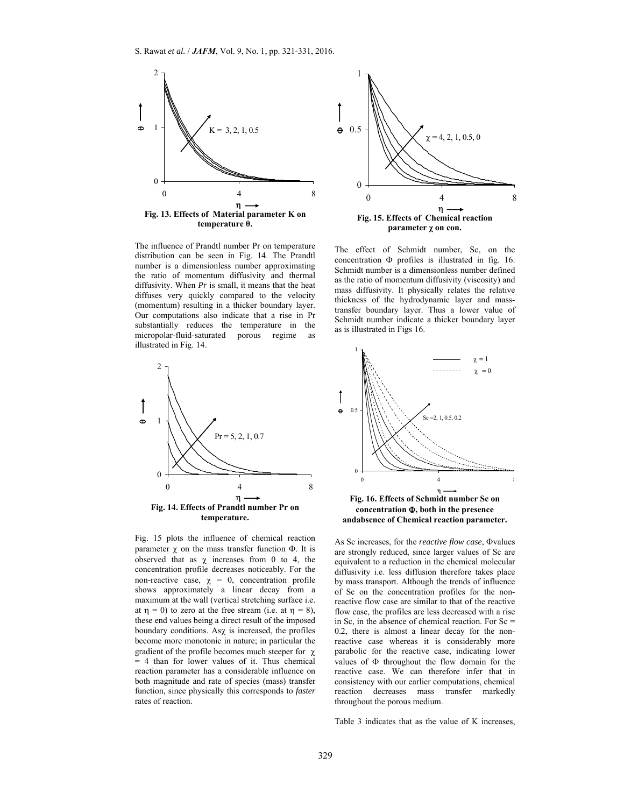

The influence of Prandtl number Pr on temperature distribution can be seen in Fig. 14. The Prandtl number is a dimensionless number approximating the ratio of momentum diffusivity and thermal diffusivity. When *Pr* is small, it means that the heat diffuses very quickly compared to the velocity (momentum) resulting in a thicker boundary layer. Our computations also indicate that a rise in Pr substantially reduces the temperature in the micropolar-fluid-saturated porous regime as illustrated in Fig. 14.



Fig. 15 plots the influence of chemical reaction parameter  $\chi$  on the mass transfer function  $\Phi$ . It is observed that as  $\chi$  increases from 0 to 4, the concentration profile decreases noticeably. For the non-reactive case,  $\chi = 0$ , concentration profile shows approximately a linear decay from a maximum at the wall (vertical stretching surface i.e. at  $\eta = 0$ ) to zero at the free stream (i.e. at  $\eta = 8$ ), these end values being a direct result of the imposed boundary conditions. As $\chi$  is increased, the profiles become more monotonic in nature; in particular the gradient of the profile becomes much steeper for  $\chi$ = 4 than for lower values of it. Thus chemical reaction parameter has a considerable influence on both magnitude and rate of species (mass) transfer function, since physically this corresponds to *faster* rates of reaction.



The effect of Schmidt number, Sc, on the concentration  $\Phi$  profiles is illustrated in fig. 16. Schmidt number is a dimensionless number defined as the ratio of momentum diffusivity (viscosity) and mass diffusivity. It physically relates the relative thickness of the hydrodynamic layer and masstransfer boundary layer. Thus a lower value of Schmidt number indicate a thicker boundary layer as is illustrated in Figs 16.



As Sc increases, for the *reactive flow case*,  $\Phi$ values are strongly reduced, since larger values of Sc are equivalent to a reduction in the chemical molecular diffusivity i.e. less diffusion therefore takes place by mass transport. Although the trends of influence of Sc on the concentration profiles for the nonreactive flow case are similar to that of the reactive flow case, the profiles are less decreased with a rise in Sc, in the absence of chemical reaction. For  $Sc =$ 0.2, there is almost a linear decay for the nonreactive case whereas it is considerably more parabolic for the reactive case, indicating lower values of  $\Phi$  throughout the flow domain for the reactive case. We can therefore infer that in consistency with our earlier computations, chemical reaction decreases mass transfer markedly throughout the porous medium.

Table 3 indicates that as the value of K increases,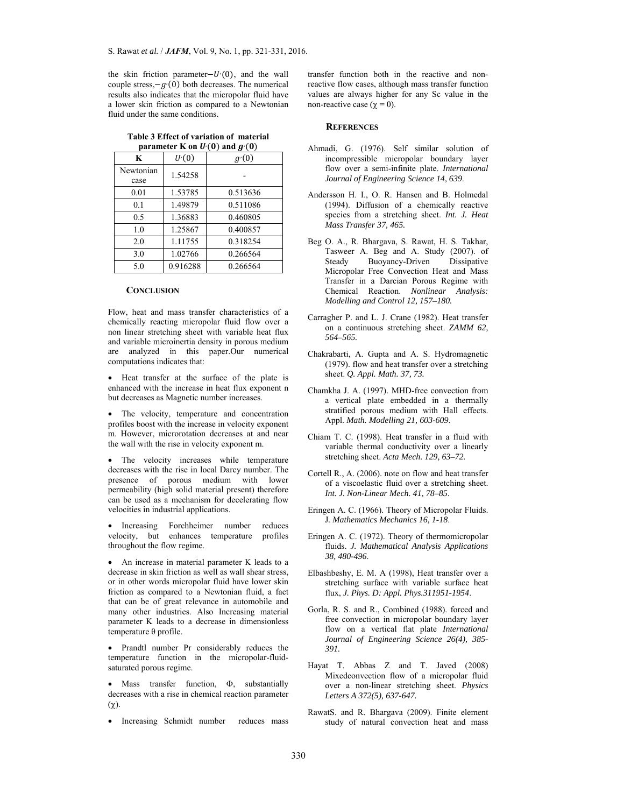the skin friction parameter $-U(0)$ , and the wall couple stress, $-g(0)$  both decreases. The numerical results also indicates that the micropolar fluid have a lower skin friction as compared to a Newtonian fluid under the same conditions.

| parameter K on $U'(0)$ and $g'(0)$ |          |          |  |  |  |  |
|------------------------------------|----------|----------|--|--|--|--|
| K                                  | U(0)     | g(0)     |  |  |  |  |
| Newtonian<br>case                  | 1.54258  |          |  |  |  |  |
| 0.01                               | 1.53785  | 0.513636 |  |  |  |  |
| 0.1                                | 1.49879  | 0.511086 |  |  |  |  |
| 0.5                                | 1.36883  | 0.460805 |  |  |  |  |
| 1.0                                | 1.25867  | 0.400857 |  |  |  |  |
| 2.0                                | 1.11755  | 0.318254 |  |  |  |  |
| 3.0                                | 1.02766  | 0.266564 |  |  |  |  |
| 5.0                                | 0.916288 | 0.266564 |  |  |  |  |

**Table 3 Effect of variation of material**  parameter K on U<sup>,</sup>  $(0)$  and  $g<sup>i</sup>$  $(0)$ 

## **CONCLUSION**

Flow, heat and mass transfer characteristics of a chemically reacting micropolar fluid flow over a non linear stretching sheet with variable heat flux and variable microinertia density in porous medium are analyzed in this paper.Our numerical computations indicates that:

• Heat transfer at the surface of the plate is enhanced with the increase in heat flux exponent n but decreases as Magnetic number increases.

 The velocity, temperature and concentration profiles boost with the increase in velocity exponent m. However, microrotation decreases at and near the wall with the rise in velocity exponent m.

 The velocity increases while temperature decreases with the rise in local Darcy number. The presence of porous medium with lower permeability (high solid material present) therefore can be used as a mechanism for decelerating flow velocities in industrial applications.

 Increasing Forchheimer number reduces velocity, but enhances temperature profiles throughout the flow regime.

 An increase in material parameter K leads to a decrease in skin friction as well as wall shear stress, or in other words micropolar fluid have lower skin friction as compared to a Newtonian fluid, a fact that can be of great relevance in automobile and many other industries. Also Increasing material parameter K leads to a decrease in dimensionless temperature θ profile.

 Prandtl number Pr considerably reduces the temperature function in the micropolar-fluidsaturated porous regime.

 $\bullet$  Mass transfer function,  $\Phi$ , substantially decreases with a rise in chemical reaction parameter  $(\chi)$ .

• Increasing Schmidt number reduces mass

transfer function both in the reactive and nonreactive flow cases, although mass transfer function values are always higher for any Sc value in the non-reactive case ( $\chi = 0$ ).

#### **REFERENCES**

- Ahmadi, G. (1976). Self similar solution of incompressible micropolar boundary layer flow over a semi-infinite plate. *International Journal of Engineering Science 14, 639*.
- Andersson H. I., O. R. Hansen and B. Holmedal (1994). Diffusion of a chemically reactive species from a stretching sheet. *Int. J. Heat Mass Transfer 37, 465.*
- Beg O. A., R. Bhargava, S. Rawat, H. S. Takhar, Tasweer A. Beg and A. Study (2007). of Steady Buoyancy-Driven Dissipative Micropolar Free Convection Heat and Mass Transfer in a Darcian Porous Regime with Chemical Reaction. *Nonlinear Analysis: Modelling and Control 12, 157–180.*
- Carragher P. and L. J. Crane (1982). Heat transfer on a continuous stretching sheet. *ZAMM 62, 564–565.*
- Chakrabarti, A. Gupta and A. S. Hydromagnetic (1979). flow and heat transfer over a stretching sheet. *Q. Appl. Math. 37, 73.*
- Chamkha J. A. (1997). MHD-free convection from a vertical plate embedded in a thermally stratified porous medium with Hall effects. Appl. *Math. Modelling 21, 603-609*.
- Chiam T. C. (1998). Heat transfer in a fluid with variable thermal conductivity over a linearly stretching sheet. *Acta Mech. 129, 63–72.*
- Cortell R., A. (2006). note on flow and heat transfer of a viscoelastic fluid over a stretching sheet. *Int. J. Non-Linear Mech. 41, 78–85*.
- Eringen A. C. (1966). Theory of Micropolar Fluids. J*. Mathematics Mechanics 16, 1-18*.
- Eringen A. C. (1972). Theory of thermomicropolar fluids. *J. Mathematical Analysis Applications 38, 480-496*.
- Elbashbeshy, E. M. A (1998), Heat transfer over a stretching surface with variable surface heat flux, *J. Phys. D: Appl. Phys.311951-1954*.
- Gorla, R. S. and R., Combined (1988). forced and free convection in micropolar boundary layer flow on a vertical flat plate *International Journal of Engineering Science 26(4), 385- 391.*
- Hayat T. Abbas Z and T. Javed (2008) Mixedconvection flow of a micropolar fluid over a non-linear stretching sheet. *Physics Letters A 372(5), 637-647.*
- RawatS. and R. Bhargava (2009). Finite element study of natural convection heat and mass